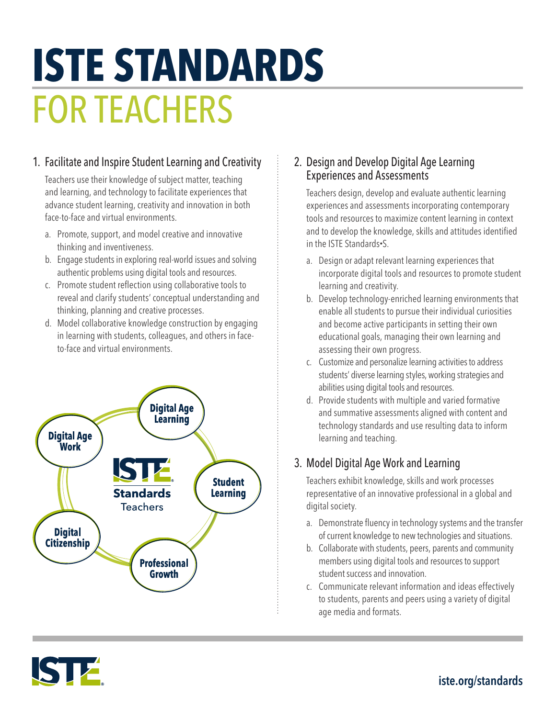# **ISTE STANDARDS**  FOR TEACHERS

# 1. Facilitate and Inspire Student Learning and Creativity

Teachers use their knowledge of subject matter, teaching and learning, and technology to facilitate experiences that advance student learning, creativity and innovation in both face-to-face and virtual environments.

- a. Promote, support, and model creative and innovative thinking and inventiveness.
- b. Engage students in exploring real-world issues and solving authentic problems using digital tools and resources.
- c. Promote student reflection using collaborative tools to reveal and clarify students' conceptual understanding and thinking, planning and creative processes.
- d. Model collaborative knowledge construction by engaging in learning with students, colleagues, and others in faceto-face and virtual environments.



#### 2. Design and Develop Digital Age Learning Experiences and Assessments

Teachers design, develop and evaluate authentic learning experiences and assessments incorporating contemporary tools and resources to maximize content learning in context and to develop the knowledge, skills and attitudes identified in the ISTE Standards•S.

- a. Design or adapt relevant learning experiences that incorporate digital tools and resources to promote student learning and creativity.
- b. Develop technology-enriched learning environments that enable all students to pursue their individual curiosities and become active participants in setting their own educational goals, managing their own learning and assessing their own progress.
- c. Customize and personalize learning activities to address students' diverse learning styles, working strategies and abilities using digital tools and resources.
- d. Provide students with multiple and varied formative and summative assessments aligned with content and technology standards and use resulting data to inform learning and teaching.

## 3. Model Digital Age Work and Learning

Teachers exhibit knowledge, skills and work processes representative of an innovative professional in a global and digital society.

- a. Demonstrate fluency in technology systems and the transfer of current knowledge to new technologies and situations.
- b. Collaborate with students, peers, parents and community members using digital tools and resources to support student success and innovation.
- c. Communicate relevant information and ideas effectively to students, parents and peers using a variety of digital age media and formats.